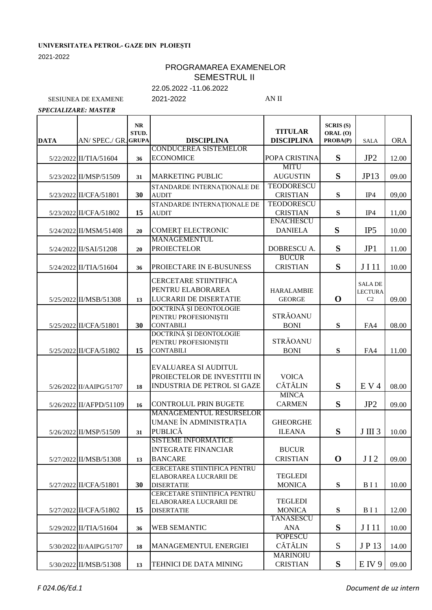## **UNIVERSITATEA PETROL- GAZE DIN PLOIEȘTI**

2021-2022

## PROGRAMAREA EXAMENELOR SEMESTRUL II

22.05.2022 -11.06.2022

SESIUNEA DE EXAMENE 2021-2022 AN II

*SPECIALIZARE: MASTER*

|             |                          | $\bf NR$<br>STUD. |                                             | <b>TITULAR</b>    | <b>SCRIS (S)</b><br>ORAL (O) |                         |            |
|-------------|--------------------------|-------------------|---------------------------------------------|-------------------|------------------------------|-------------------------|------------|
| <b>DATA</b> | AN/ SPEC./ GR.           | <b>GRUPA</b>      | <b>DISCIPLINA</b><br>CONDUCEREA SISTEMELOR  | <b>DISCIPLINA</b> | PROBA(P)                     | <b>SALA</b>             | <b>ORA</b> |
|             | 5/22/2022 II/TIA/51604   | 36                | <b>ECONOMICE</b>                            | POPA CRISTINA     | S                            | JP <sub>2</sub>         | 12.00      |
|             |                          |                   |                                             | <b>MITU</b>       |                              |                         |            |
|             | 5/23/2022 II/MSP/51509   | 31                | <b>MARKETING PUBLIC</b>                     | <b>AUGUSTIN</b>   | S                            | JP13                    | 09.00      |
|             |                          |                   | STANDARDE INTERNAȚIONALE DE                 | <b>TEODORESCU</b> |                              |                         |            |
|             | 5/23/2022 II/CFA/51801   | 30                | <b>AUDIT</b>                                | <b>CRISTIAN</b>   | S                            | IP4                     | 09,00      |
|             |                          |                   | STANDARDE INTERNAȚIONALE DE                 | <b>TEODORESCU</b> |                              |                         |            |
|             | 5/23/2022 II/CFA/51802   | 15                | <b>AUDIT</b>                                | <b>CRISTIAN</b>   | S                            | IP4                     | 11,00      |
|             |                          |                   |                                             | <b>ENÁCHESCU</b>  |                              |                         |            |
|             | 5/24/2022 II/MSM/51408   | 20                | COMERȚ ELECTRONIC                           | <b>DANIELA</b>    | S                            | IP <sub>5</sub>         | 10.00      |
|             |                          |                   | <b>MANAGEMENTUL</b>                         |                   |                              |                         |            |
|             | 5/24/2022 II/SAI/51208   | 20                | <b>PROIECTELOR</b>                          | DOBRESCU A.       | S                            | JP1                     | 11.00      |
|             |                          |                   |                                             | <b>BUCUR</b>      |                              |                         |            |
|             | 5/24/2022 II/TIA/51604   | 36                | PROJECTARE IN E-BUSUNESS                    | <b>CRISTIAN</b>   | S                            | JI11                    | 10.00      |
|             |                          |                   |                                             |                   |                              |                         |            |
|             |                          |                   | CERCETARE STIINTIFICA                       |                   |                              | <b>SALA DE</b>          |            |
|             |                          |                   | PENTRU ELABORAREA                           | <b>HARALAMBIE</b> |                              | <b>LECTURA</b>          |            |
|             | 5/25/2022 II/MSB/51308   | 13                | <b>LUCRARII DE DISERTATIE</b>               | <b>GEORGE</b>     | $\mathbf 0$                  | C2                      | 09.00      |
|             |                          |                   | DOCTRINĂ ȘI DEONTOLOGIE                     | <b>STRĂOANU</b>   |                              |                         |            |
|             |                          |                   | PENTRU PROFESIONIȘTII                       |                   |                              |                         |            |
|             | 5/25/2022 II/CFA/51801   | 30                | <b>CONTABILI</b><br>DOCTRINĂ ȘI DEONTOLOGIE | <b>BONI</b>       | ${\bf S}$                    | FA4                     | 08.00      |
|             |                          |                   | PENTRU PROFESIONIȘTII                       | <b>STRĂOANU</b>   |                              |                         |            |
|             | 5/25/2022 II/CFA/51802   | 15                | <b>CONTABILI</b>                            | <b>BONI</b>       | S                            | FA4                     | 11.00      |
|             |                          |                   |                                             |                   |                              |                         |            |
|             |                          |                   | EVALUAREA SI AUDITUL                        |                   |                              |                         |            |
|             |                          |                   | PROIECTELOR DE INVESTITII IN                | <b>VOICA</b>      |                              |                         |            |
|             | 5/26/2022 II/AAIPG/51707 | 18                | INDUSTRIA DE PETROL SI GAZE                 | <b>CĂTĂLIN</b>    | S                            | E V 4                   | 08.00      |
|             |                          |                   |                                             | <b>MINCA</b>      |                              |                         |            |
|             | 5/26/2022 II/AFPD/51109  | 16                | <b>CONTROLUL PRIN BUGETE</b>                | <b>CARMEN</b>     | S                            | JP <sub>2</sub>         | 09.00      |
|             |                          |                   | MANAGEMENTUL RESURSELOR                     |                   |                              |                         |            |
|             |                          |                   | UMANE ÎN ADMINISTRAȚIA                      | <b>GHEORGHE</b>   |                              |                         |            |
|             | 5/26/2022 II/MSP/51509   | 31                | <b>PUBLICĂ</b>                              | <b>ILEANA</b>     | S                            | JIII3                   | 10.00      |
|             |                          |                   | <b>SISTEME INFORMATICE</b>                  |                   |                              |                         |            |
|             |                          |                   | <b>INTEGRATE FINANCIAR</b>                  | <b>BUCUR</b>      |                              |                         |            |
|             | 5/27/2022 II/MSB/51308   | 13                | <b>BANCARE</b>                              | <b>CRISTIAN</b>   | $\mathbf 0$                  | JI2                     | 09.00      |
|             |                          |                   | CERCETARE STIINTIFICA PENTRU                |                   |                              |                         |            |
|             |                          |                   | ELABORAREA LUCRARII DE                      | <b>TEGLEDI</b>    |                              |                         |            |
|             | 5/27/2022 II/CFA/51801   | 30                | <b>DISERTATIE</b>                           | <b>MONICA</b>     | S                            | <b>B</b> <sub>I</sub>   | 10.00      |
|             |                          |                   | CERCETARE STIINTIFICA PENTRU                |                   |                              |                         |            |
|             |                          |                   | ELABORAREA LUCRARII DE                      | <b>TEGLEDI</b>    |                              |                         |            |
|             | 5/27/2022 II/CFA/51802   | 15                | <b>DISERTATIE</b>                           | <b>MONICA</b>     | ${\bf S}$                    | <b>B</b> <sub>I</sub> 1 | 12.00      |
|             |                          |                   |                                             | TÁNÁSESCU         |                              |                         |            |
|             | 5/29/2022 II/TIA/51604   | 36                | <b>WEB SEMANTIC</b>                         | <b>ANA</b>        | S                            | J I 11                  | 10.00      |
|             |                          |                   |                                             | <b>POPESCU</b>    |                              |                         |            |
|             | 5/30/2022 II/AAIPG/51707 | 18                | MANAGEMENTUL ENERGIEI                       | CĂTĂLIN           | S                            | JP 13                   | 14.00      |
|             |                          |                   |                                             | <b>MARINOIU</b>   |                              |                         |            |
|             | 5/30/2022 II/MSB/51308   | 13                | TEHNICI DE DATA MINING                      | <b>CRISTIAN</b>   | S                            | E IV 9                  | 09.00      |